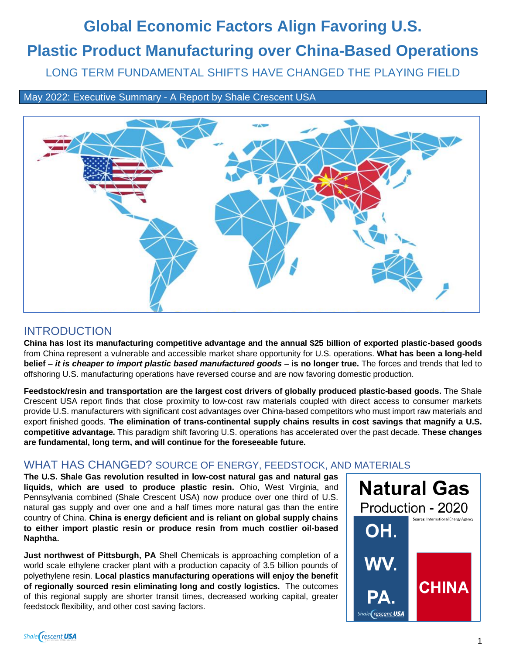# **Global Economic Factors Align Favoring U.S.**

# **Plastic Product Manufacturing over China-Based Operations**

LONG TERM FUNDAMENTAL SHIFTS HAVE CHANGED THE PLAYING FIELD

May 2022: Executive Summary - A Report by Shale Crescent USA



## INTRODUCTION

**China has lost its manufacturing competitive advantage and the annual \$25 billion of exported plastic-based goods** from China represent a vulnerable and accessible market share opportunity for U.S. operations. **What has been a long-held belief** *– it is cheaper to import plastic based manufactured goods –* **is no longer true.** The forces and trends that led to offshoring U.S. manufacturing operations have reversed course and are now favoring domestic production.

**Feedstock/resin and transportation are the largest cost drivers of globally produced plastic-based goods.** The Shale Crescent USA report finds that close proximity to low-cost raw materials coupled with direct access to consumer markets provide U.S. manufacturers with significant cost advantages over China-based competitors who must import raw materials and export finished goods. **The elimination of trans-continental supply chains results in cost savings that magnify a U.S. competitive advantage.** This paradigm shift favoring U.S. operations has accelerated over the past decade. **These changes are fundamental, long term, and will continue for the foreseeable future.**

#### WHAT HAS CHANGED? SOURCE OF ENERGY, FEEDSTOCK, AND MATERIALS

**The U.S. Shale Gas revolution resulted in low-cost natural gas and natural gas liquids, which are used to produce plastic resin.** Ohio, West Virginia, and Pennsylvania combined (Shale Crescent USA) now produce over one third of U.S. natural gas supply and over one and a half times more natural gas than the entire country of China. **China is energy deficient and is reliant on global supply chains to either import plastic resin or produce resin from much costlier oil-based Naphtha.**

**Just northwest of Pittsburgh, PA** Shell Chemicals is approaching completion of a world scale ethylene cracker plant with a production capacity of 3.5 billion pounds of polyethylene resin. **Local plastics manufacturing operations will enjoy the benefit of regionally sourced resin eliminating long and costly logistics.** The outcomes of this regional supply are shorter transit times, decreased working capital, greater feedstock flexibility, and other cost saving factors.

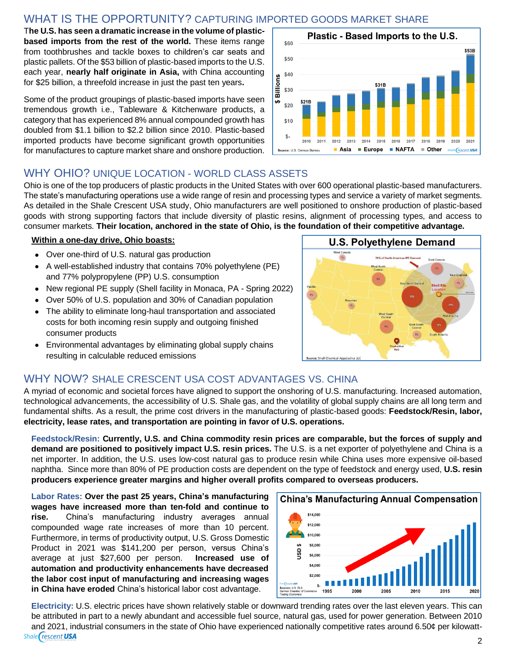#### WHAT IS THE OPPORTUNITY? CAPTURING IMPORTED GOODS MARKET SHARE

T**he U.S. has seen a dramatic increase in the volume of plasticbased imports from the rest of the world.** These items range from toothbrushes and tackle boxes to children's car seats and plastic pallets. Of the \$53 billion of plastic-based imports to the U.S. each year, **nearly half originate in Asia,** with China accounting for \$25 billion, a threefold increase in just the past ten years**.**

Some of the product groupings of plastic-based imports have seen tremendous growth i.e., Tableware & Kitchenware products, a category that has experienced 8% annual compounded growth has doubled from \$1.1 billion to \$2.2 billion since 2010. Plastic-based imported products have become significant growth opportunities for manufactures to capture market share and onshore production.



#### WHY OHIO? UNIQUE LOCATION - WORLD CLASS ASSETS

Ohio is one of the top producers of plastic products in the United States with over 600 operational plastic-based manufacturers. The state's manufacturing operations use a wide range of resin and processing types and service a variety of market segments. As detailed in the Shale Crescent USA study, Ohio manufacturers are well positioned to onshore production of plastic-based goods with strong supporting factors that include diversity of plastic resins, alignment of processing types, and access to consumer markets. **Their location, anchored in the state of Ohio, is the foundation of their competitive advantage.** 

#### **Within a one-day drive, Ohio boasts:**

- Over one-third of U.S. natural gas production
- A well-established industry that contains 70% polyethylene (PE) and 77% polypropylene (PP) U.S. consumption
- New regional PE supply (Shell facility in Monaca, PA Spring 2022)
- Over 50% of U.S. population and 30% of Canadian population
- The ability to eliminate long-haul transportation and associated costs for both incoming resin supply and outgoing finished consumer products
- Environmental advantages by eliminating global supply chains resulting in calculable reduced emissions



#### WHY NOW? SHALE CRESCENT USA COST ADVANTAGES VS. CHINA

A myriad of economic and societal forces have aligned to support the onshoring of U.S. manufacturing. Increased automation, technological advancements, the accessibility of U.S. Shale gas, and the volatility of global supply chains are all long term and fundamental shifts. As a result, the prime cost drivers in the manufacturing of plastic-based goods: **Feedstock/Resin, labor, electricity, lease rates, and transportation are pointing in favor of U.S. operations.**

**Feedstock/Resin: Currently, U.S. and China commodity resin prices are comparable, but the forces of supply and demand are positioned to positively impact U.S. resin prices.** The U.S. is a net exporter of polyethylene and China is a net importer. In addition, the U.S. uses low-cost natural gas to produce resin while China uses more expensive oil-based naphtha. Since more than 80% of PE production costs are dependent on the type of feedstock and energy used, **U.S. resin producers experience greater margins and higher overall profits compared to overseas producers.**

**Labor Rates: Over the past 25 years, China's manufacturing wages have increased more than ten-fold and continue to rise.** China's manufacturing industry averages annual compounded wage rate increases of more than 10 percent. Furthermore, in terms of productivity output, U.S. Gross Domestic Product in 2021 was \$141,200 per person, versus China's average at just \$27,600 per person. **Increased use of automation and productivity enhancements have decreased the labor cost input of manufacturing and increasing wages in China have eroded** China's historical labor cost advantage.



**Electricity:** U.S. electric prices have shown relatively stable or downward trending rates over the last eleven years. This can be attributed in part to a newly abundant and accessible fuel source, natural gas, used for power generation. Between 2010 and 2021, industrial consumers in the state of Ohio have experienced nationally competitive rates around 6.50¢ per kilowatt-Shale rescent USA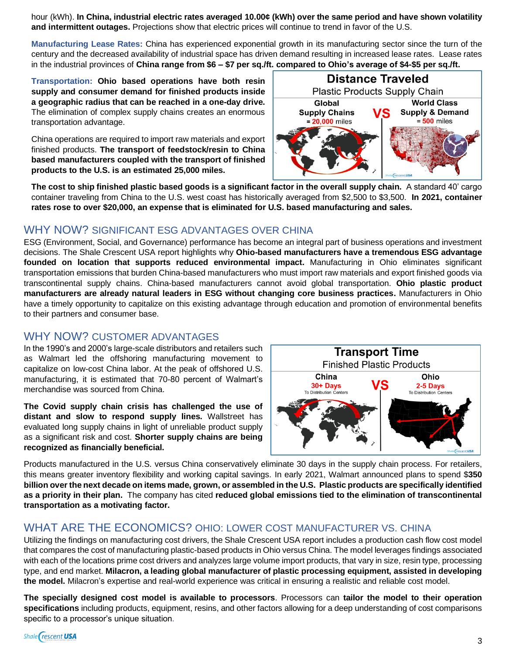hour (kWh). **In China, industrial electric rates averaged 10.00¢ (kWh) over the same period and have shown volatility and intermittent outages.** Projections show that electric prices will continue to trend in favor of the U.S.

**Manufacturing Lease Rates:** China has experienced exponential growth in its manufacturing sector since the turn of the century and the decreased availability of industrial space has driven demand resulting in increased lease rates. Lease rates in the industrial provinces of **China range from \$6 – \$7 per sq./ft. compared to Ohio's average of \$4-\$5 per sq./ft.** 

**Transportation: Ohio based operations have both resin supply and consumer demand for finished products inside a geographic radius that can be reached in a one-day drive.** The elimination of complex supply chains creates an enormous transportation advantage.

China operations are required to import raw materials and export finished products. **The transport of feedstock/resin to China based manufacturers coupled with the transport of finished products to the U.S. is an estimated 25,000 miles.**



**The cost to ship finished plastic based goods is a significant factor in the overall supply chain.** A standard 40' cargo container traveling from China to the U.S. west coast has historically averaged from \$2,500 to \$3,500. **In 2021, container rates rose to over \$20,000, an expense that is eliminated for U.S. based manufacturing and sales.**

#### WHY NOW? SIGNIFICANT ESG ADVANTAGES OVER CHINA

ESG (Environment, Social, and Governance) performance has become an integral part of business operations and investment decisions. The Shale Crescent USA report highlights why **Ohio-based manufacturers have a tremendous ESG advantage founded on location that supports reduced environmental impact.** Manufacturing in Ohio eliminates significant transportation emissions that burden China-based manufacturers who must import raw materials and export finished goods via transcontinental supply chains. China-based manufacturers cannot avoid global transportation. **Ohio plastic product manufacturers are already natural leaders in ESG without changing core business practices.** Manufacturers in Ohio have a timely opportunity to capitalize on this existing advantage through education and promotion of environmental benefits to their partners and consumer base.

#### WHY NOW? CUSTOMER ADVANTAGES

In the 1990's and 2000's large-scale distributors and retailers such as Walmart led the offshoring manufacturing movement to capitalize on low-cost China labor. At the peak of offshored U.S. manufacturing, it is estimated that 70-80 percent of Walmart's merchandise was sourced from China.

**The Covid supply chain crisis has challenged the use of distant and slow to respond supply lines.** Wallstreet has evaluated long supply chains in light of unreliable product supply as a significant risk and cost. **Shorter supply chains are being recognized as financially beneficial.** 



Products manufactured in the U.S. versus China conservatively eliminate 30 days in the supply chain process. For retailers, this means greater inventory flexibility and working capital savings. In early 2021, Walmart announced plans to spend \$**350 billion over the next decade on items made, grown, or assembled in the U.S. Plastic products are specifically identified as a priority in their plan.** The company has cited **reduced global emissions tied to the elimination of transcontinental transportation as a motivating factor.**

#### WHAT ARE THE ECONOMICS? OHIO: LOWER COST MANUFACTURER VS. CHINA

Utilizing the findings on manufacturing cost drivers, the Shale Crescent USA report includes a production cash flow cost model that compares the cost of manufacturing plastic-based products in Ohio versus China. The model leverages findings associated with each of the locations prime cost drivers and analyzes large volume import products, that vary in size, resin type, processing type, and end market. **Milacron, a leading global manufacturer of plastic processing equipment, assisted in developing the model.** Milacron's expertise and real-world experience was critical in ensuring a realistic and reliable cost model.

**The specially designed cost model is available to processors**. Processors can **tailor the model to their operation specifications** including products, equipment, resins, and other factors allowing for a deep understanding of cost comparisons specific to a processor's unique situation.